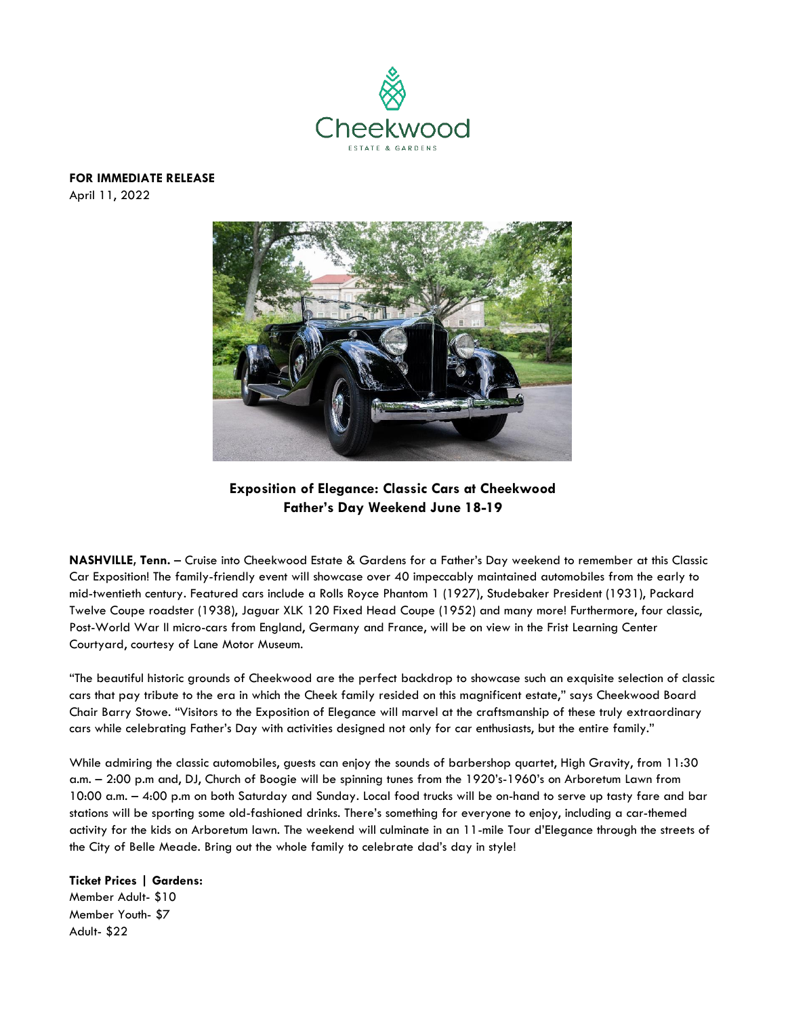

**FOR IMMEDIATE RELEASE** 

April 11, 2022



**Exposition of Elegance: Classic Cars at Cheekwood Father's Day Weekend June 18-19**

**NASHVILLE, Tenn.** – Cruise into Cheekwood Estate & Gardens for a Father's Day weekend to remember at this Classic Car Exposition! The family-friendly event will showcase over 40 impeccably maintained automobiles from the early to mid-twentieth century. Featured cars include a Rolls Royce Phantom 1 (1927), Studebaker President (1931), Packard Twelve Coupe roadster (1938), Jaguar XLK 120 Fixed Head Coupe (1952) and many more! Furthermore, four classic, Post-World War II micro-cars from England, Germany and France, will be on view in the Frist Learning Center Courtyard, courtesy of Lane Motor Museum.

"The beautiful historic grounds of Cheekwood are the perfect backdrop to showcase such an exquisite selection of classic cars that pay tribute to the era in which the Cheek family resided on this magnificent estate," says Cheekwood Board Chair Barry Stowe. "Visitors to the Exposition of Elegance will marvel at the craftsmanship of these truly extraordinary cars while celebrating Father's Day with activities designed not only for car enthusiasts, but the entire family."

While admiring the classic automobiles, guests can enjoy the sounds of barbershop quartet, High Gravity, from 11:30 a.m. – 2:00 p.m and, DJ, Church of Boogie will be spinning tunes from the 1920's-1960's on Arboretum Lawn from 10:00 a.m. – 4:00 p.m on both Saturday and Sunday. Local food trucks will be on-hand to serve up tasty fare and bar stations will be sporting some old-fashioned drinks. There's something for everyone to enjoy, including a car-themed activity for the kids on Arboretum lawn. The weekend will culminate in an 11-mile Tour d'Elegance through the streets of the City of Belle Meade. Bring out the whole family to celebrate dad's day in style!

**Ticket Prices | Gardens:** Member Adult- \$10 Member Youth- \$7 Adult- \$22